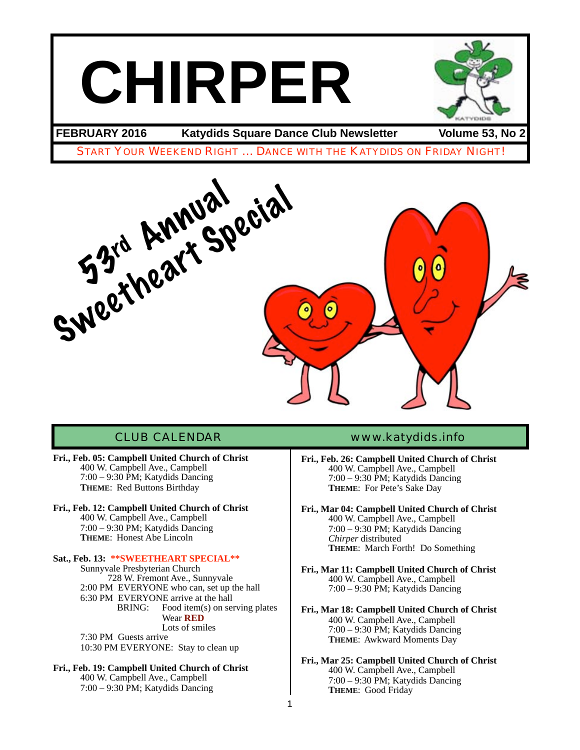# **CHIRPER**



**FEBRUARY 2016 Katydids Square Dance Club Newsletter Volume 53, No 2**

START YOUR WEEKEND RIGHT … DANCE WITH THE KATYDIDS ON FRIDAY NIGHT!



- **Fri., Feb. 05: Campbell United Church of Christ** 400 W. Campbell Ave., Campbell 7:00 – 9:30 PM; Katydids Dancing **THEME**: Red Buttons Birthday
- **Fri., Feb. 12: Campbell United Church of Christ** 400 W. Campbell Ave., Campbell 7:00 – 9:30 PM; Katydids Dancing **THEME**: Honest Abe Lincoln

Sat., Feb. 13: \*\***SWEETHEART SPECIAL\*\***<br>Sunnyvale Presbyterian Church 728 W. Fremont Ave., Sunnyvale 2:00 PM EVERYONE who can, set up the hall 6:30 PM EVERYONE arrive at the hall<br>BRING: Food item(s) on set Food item $(s)$  on serving plates Wear **RED** Lots of smiles 7:30 PM Guests arrive 10:30 PM EVERYONE: Stay to clean up

**Fri., Feb. 19: Campbell United Church of Christ** 400 W. Campbell Ave., Campbell 7:00 – 9:30 PM; Katydids Dancing

### CLUB CALENDAR [www.katydids.info](http://www.katydids.info)

- **Fri., Feb. 26: Campbell United Church of Christ** 400 W. Campbell Ave., Campbell 7:00 – 9:30 PM; Katydids Dancing **THEME**: For Pete's Sake Day
- **Fri., Mar 04: Campbell United Church of Christ** 400 W. Campbell Ave., Campbell 7:00 – 9:30 PM; Katydids Dancing *Chirper* distributed **THEME**: March Forth! Do Something
- **Fri., Mar 11: Campbell United Church of Christ** 400 W. Campbell Ave., Campbell 7:00 – 9:30 PM; Katydids Dancing
- **Fri., Mar 18: Campbell United Church of Christ** 400 W. Campbell Ave., Campbell 7:00 – 9:30 PM; Katydids Dancing **THEME**: Awkward Moments Day
- **Fri., Mar 25: Campbell United Church of Christ** 400 W. Campbell Ave., Campbell 7:00 – 9:30 PM; Katydids Dancing **THEME**: Good Friday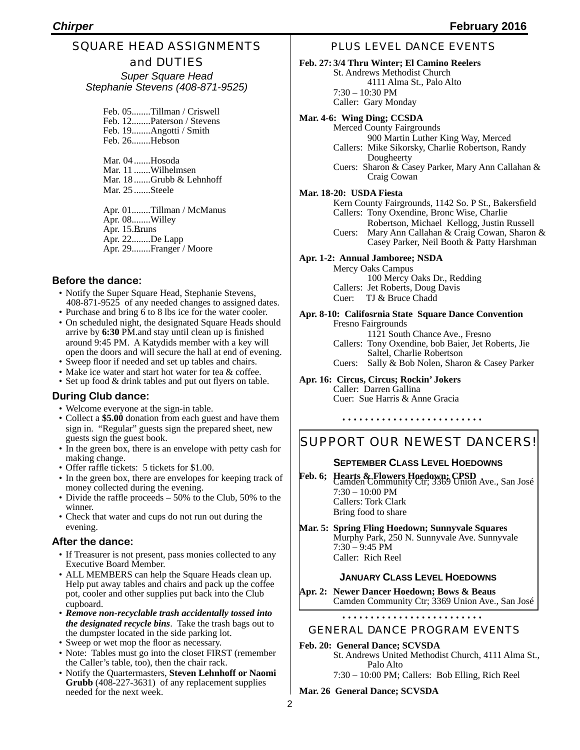#### SQUARE HEAD ASSIGNMENTS and DUTIES

*Super Square Head Stephanie Stevens (408-871-9525)*

Feb. 05........Tillman / Criswell Feb. 12........Paterson / Stevens Feb. 19........Angotti / Smith Feb. 26........Hebson

Mar. 04 .......Hosoda Mar. 11 .......Wilhelmsen Mar. 18 .......Grubb & Lehnhoff Mar. 25 .......Steele

Apr. 01........Tillman / McManus Apr. 08........Willey Apr. 15.Bruns Apr. 22........De Lapp Apr. 29........Franger / Moore

#### **Before the dance:**

- Notify the Super Square Head, Stephanie Stevens, 408-871-9525 of any needed changes to assigned dates.
- Purchase and bring 6 to 8 lbs ice for the water cooler.
- On scheduled night, the designated Square Heads should arrive by **6:30** PM.and stay until clean up is finished around 9:45 PM. A Katydids member with a key will open the doors and will secure the hall at end of evening.
- Sweep floor if needed and set up tables and chairs.
- Make ice water and start hot water for tea & coffee. • Set up food & drink tables and put out flyers on table.

#### **During Club dance:**

- Welcome everyone at the sign-in table.
- Collect a **\$5.00** donation from each guest and have them sign in. "Regular" guests sign the prepared sheet, new guests sign the guest book.
- In the green box, there is an envelope with petty cash for making change.
- Offer raffle tickets: 5 tickets for \$1.00.
- In the green box, there are envelopes for keeping track of money collected during the evening.
- Divide the raffle proceeds 50% to the Club, 50% to the winner.
- Check that water and cups do not run out during the evening.

#### **After the dance:**

- If Treasurer is not present, pass monies collected to any Executive Board Member.
- ALL MEMBERS can help the Square Heads clean up. Help put away tables and chairs and pack up the coffee pot, cooler and other supplies put back into the Club cupboard.
- *Remove non-recyclable trash accidentally tossed into the designated recycle bins*. Take the trash bags out to the dumpster located in the side parking lot.
- Sweep or wet mop the floor as necessary.
- Note: Tables must go into the closet FIRST (remember the Caller's table, too), then the chair rack.
- Notify the Quartermasters, **Steven Lehnhoff or Naomi Grubb** (408-227-3631) of any replacement supplies needed for the next week.

#### PLUS LEVEL DANCE EVENTS

#### **Feb. 27: 3/4 Thru Winter; El Camino Reelers**

St. Andrews Methodist Church 4111 Alma St., Palo Alto 7:30 – 10:30 PM

Caller: Gary Monday

#### **Mar. 4-6: Wing Ding; CCSDA**

Merced County Fairgrounds 900 Martin Luther King Way, Merced Callers: Mike Sikorsky, Charlie Robertson, Randy Dougheerty

Cuers: Sharon & Casey Parker, Mary Ann Callahan & Craig Cowan

#### **Mar. 18-20: USDA Fiesta**

Kern County Fairgrounds, 1142 So. P St., Bakersfield Callers: Tony Oxendine, Bronc Wise, Charlie Robertson, Michael Kellogg, Justin Russell Cuers: Mary Ann Callahan & Craig Cowan, Sharon & Casey Parker, Neil Booth & Patty Harshman

#### **Apr. 1-2: Annual Jamboree; NSDA**

Mercy Oaks Campus 100 Mercy Oaks Dr., Redding Callers: Jet Roberts, Doug Davis

Cuer: TJ & Bruce Chadd

#### **Apr. 8-10: Califosrnia State Square Dance Convention** Fresno Fairgrounds

 1121 South Chance Ave., Fresno

- Callers: Tony Oxendine, bob Baier, Jet Roberts, Jie<br>Saltel, Charlie Robertson
- Cuers: Sally & Bob Nolen, Sharon & Casey Parker

#### **Apr. 16: Circus, Circus; Rockin' Jokers** Caller: Darren Gallina Cuer: Sue Harris & Anne Gracia

### SUPPORT OUR NEWEST DANCERS!

#### **SEPTEMBER CLASS LEVEL HOEDOWNS**

- **Feb. 6; Hearts & Flowers Hoedown; CPSD**<br>Camden Community Ctr; 3369 Union Ave., San José 7:30 – 10:00 PM Callers: Tork Clark Bring food to share
- **Mar. 5: Spring Fling Hoedown; Sunnyvale Squares** Murphy Park, 250 N. Sunnyvale Ave. Sunnyvale 7:30 – 9:45 PM Caller: Rich Reel

#### **JANUARY CLASS LEVEL HOEDOWNS**

**Apr. 2: Newer Dancer Hoedown; Bows & Beaus** Camden Community Ctr; 3369 Union Ave., San José

#### GENERAL DANCE PROGRAM EVENTS

- **Feb. 20: General Dance; SCVSDA**
	- St. Andrews United Methodist Church, 4111 Alma St., Palo Alto

7:30 – 10:00 PM; Callers: Bob Elling, Rich Reel

**Mar. 26 General Dance; SCVSDA**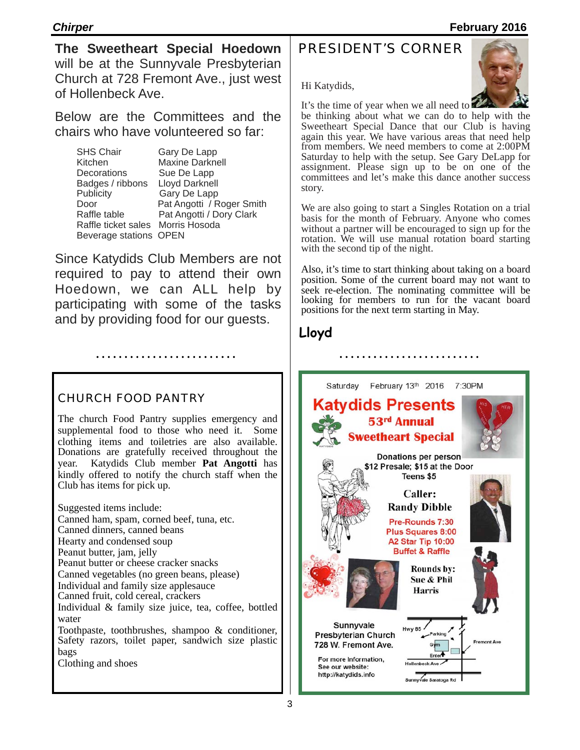**The Sweetheart Special Hoedown** will be at the Sunnyvale Presbyterian Church at 728 Fremont Ave., just west of Hollenbeck Ave.

Below are the Committees and the chairs who have volunteered so far:

SHS Chair Gary De Lapp Kitchen Maxine Darknell Decorations Sue De Lapp Badges / ribbons Lloyd Darknell Publicity Gary De Lapp Door Pat Angotti / Roger Smith Raffle table **Pat Angotti / Dory Clark** Raffle ticket sales Morris Hosoda Beverage stations OPEN

Since Katydids Club Members are not required to pay to attend their own Hoedown, we can ALL help by participating with some of the tasks and by providing food for our guests.

#### CHURCH FOOD PANTRY

The church Food Pantry supplies emergency and supplemental food to those who need it. Some clothing items and toiletries are also available. Donations are gratefully received throughout the vear. Katydids Club member Pat Angotti has Katydids Club member **Pat Angotti** has kindly offered to notify the church staff when the Club has items for pick up.

Suggested items include: Canned ham, spam, corned beef, tuna, etc. Canned dinners, canned beans Hearty and condensed soup Peanut butter, jam, jelly Peanut butter or cheese cracker snacks Canned vegetables (no green beans, please) Individual and family size applesauce Canned fruit, cold cereal, crackers Individual & family size juice, tea, coffee, bottled water Toothpaste, toothbrushes, shampoo & conditioner, Safety razors, toilet paper, sandwich size plastic bags Clothing and shoes

## PRESIDENT'S CORNER

Hi Katydids,

It's the time of year when we all need to be thinking about what we can do to help with the Sweetheart Special Dance that our Club is having again this year. We have various areas that need help from members. We need members to come at 2:00PM Saturday to help with the setup. See Gary DeLapp for assignment. Please sign up to be on one of the committees and let's make this dance another success story.

We are also going to start a Singles Rotation on a trial basis for the month of February. Anyone who comes without a partner will be encouraged to sign up for the rotation. We will use manual rotation board starting with the second tip of the night.

Also, it's time to start thinking about taking on a board position. Some of the current board may not want to seek re-election. The nominating committee will be looking for members to run for the vacant board positions for the next term starting in May.

## **Lloyd**



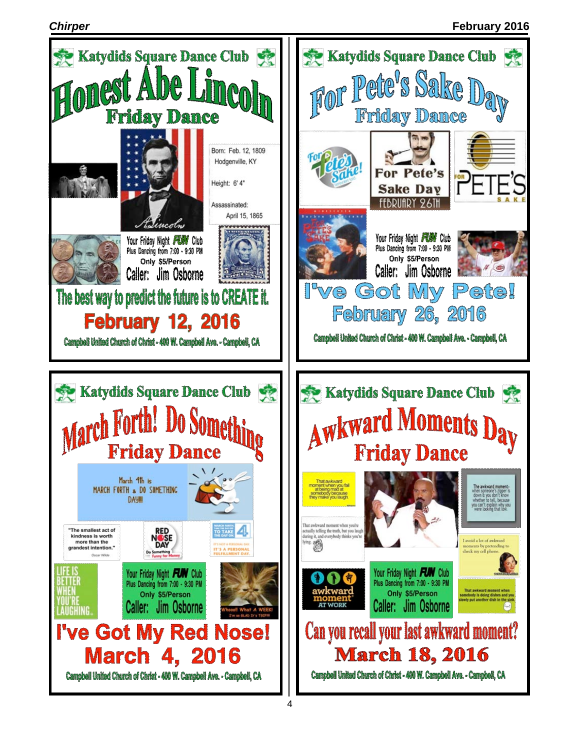#### *Chirper* **February 2016**

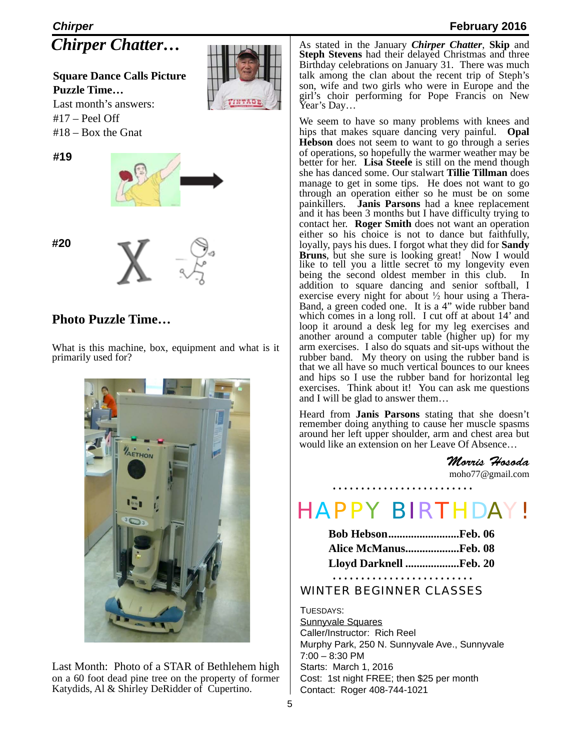## *Chirper* **February 2016** *Chirper Chatter…*

**Square Dance Calls Picture Puzzle Time…** Last month's answers:

 $#17 -$  Peel Off #18 – Box the Gnat

**#19**



**#20**



## **Photo Puzzle Time…**

What is this machine, box, equipment and what is it primarily used for?



Last Month: Photo of a STAR of Bethlehem high on a 60 foot dead pine tree on the property of former Katydids, Al & Shirley DeRidder of Cupertino.

As stated in the January *Chirper Chatter*, **Skip** and **Steph Stevens** had their delayed Christmas and three Birthday celebrations on January 31. There was much talk among the clan about the recent trip of Steph's son, wife and two girls who were in Europe and the girl's choir performing for Pope Francis on New Year's Day...

We seem to have so many problems with knees and hips that makes square dancing very painful. **Opal Hebson** does not seem to want to go through a series of operations, so hopefully the warmer weather may be better for her. Lisa Steele is still on the mend though she has danced some. Our stalwart **Tillie Tillman** does manage to get in some tips. He does not want to go through an operation either so he must be on some painkillers. **Janis Parsons** had a knee replacement and it has been 3 months but I have difficulty trying to contact her. **Roger Smith** does not want an operation either so his choice is not to dance but faithfully, loyally, pays his dues. I forgot what they did for **Sandy Bruns**, but she sure is looking great! Now I would like to tell you a little secret to my longevity even being the second oldest member in this club. In addition to square dancing and senior softball, I exercise every night for about  $\frac{1}{2}$  hour using a Thera-Band, a green coded one. It is a 4" wide rubber band which comes in a long roll. I cut off at about 14' and loop it around a desk leg for my leg exercises and another around a computer table (higher up) for my arm exercises. I also do squats and sit-ups without the rubber band. My theory on using the rubber band is that we all have so much vertical bounces to our knees and hips so I use the rubber band for horizontal leg exercises. Think about it! You can ask me questions and I will be glad to answer them…

Heard from **Janis Parsons** stating that she doesn't remember doing anything to cause her muscle spasms around her left upper shoulder, arm and chest area but would like an extension on her Leave Of Absence…

> *Morris Hosoda* [moho77@gmail.com](mailto:moho77@gmail.com)

# HAPPY BIRTHDAY!

| <b>Bob HebsonFeb. 06</b> |  |
|--------------------------|--|
| Alice McManusFeb. 08     |  |
| Lloyd Darknell Feb. 20   |  |

#### WINTER BEGINNER CLASSES

TUESDAYS: Sunnyvale Squares Caller/Instructor: Rich Reel Murphy Park, 250 N. Sunnyvale Ave., Sunnyvale 7:00 – 8:30 PM Starts: March 1, 2016 Cost: 1st night FREE; then \$25 per month Contact: Roger 408-744-1021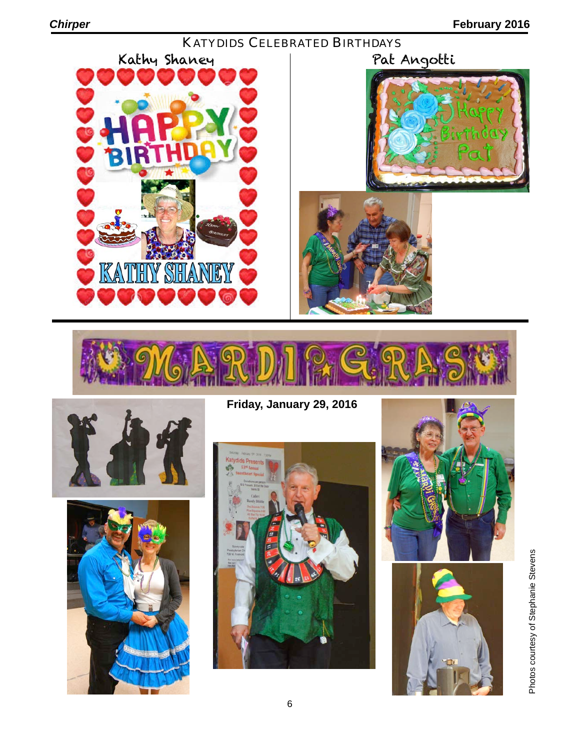











**Friday, January 29, 2016**







Photos courtesy of Stephanie Stevens Photos courtesy of Stephanie Stevens